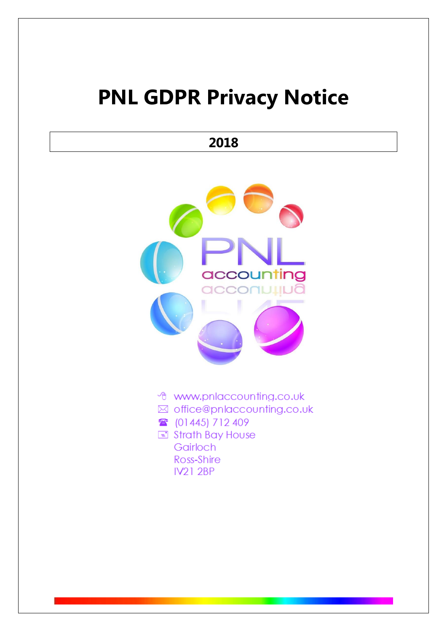# **PNL GDPR Privacy Notice**

# **2018**



- t www.pnlaccounting.co.uk
- ⊠ office@pnlaccounting.co.uk
- (01445) 712 409
- Strath Bay House Gairloch Ross-Shire **IV21 2BP**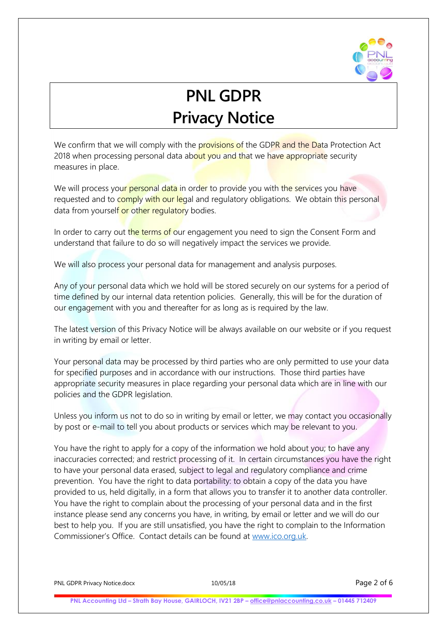

# **PNL GDPR Privacy Notice**

We confirm that we will comply with the provisions of the GDPR and the Data Protection Act 2018 when processing personal data about you and that we have appropriate security measures in place.

We will process your personal data in order to provide you with the services you have requested and to comply with our legal and regulatory obligations. We obtain this personal data from yourself or other regulatory bodies.

In order to carry out the terms of our engagement you need to sign the Consent Form and understand that failure to do so will negatively impact the services we provide.

We will also process your personal data for management and analysis purposes.

Any of your personal data which we hold will be stored securely on our systems for a period of time defined by our internal data retention policies. Generally, this will be for the duration of our engagement with you and thereafter for as long as is required by the law.

The latest version of this Privacy Notice will be always available on our website or if you request in writing by email or letter.

Your personal data may be processed by third parties who are only permitted to use your data for specified purposes and in accordance with our instructions. Those third parties have appropriate security measures in place regarding your personal data which are in line with our policies and the GDPR legislation.

Unless you inform us not to do so in writing by email or letter, we may contact you occasionally by post or e-mail to tell you about products or services which may be relevant to you.

You have the right to apply for a copy of the information we hold about you; to have any inaccuracies corrected; and restrict processing of it. In certain circumstances you have the right to have your personal data erased, subject to legal and regulatory compliance and crime prevention. You have the right to data portability: to obtain a copy of the data you have provided to us, held digitally, in a form that allows you to transfer it to another data controller. You have the right to complain about the processing of your personal data and in the first instance please send any concerns you have, in writing, by email or letter and we will do our best to help you. If you are still unsatisfied, you have the right to complain to the Information Commissioner's Office. Contact details can be found at [www.ico.org.uk.](http://www.ico.org.uk/)

PNL GDPR Privacy Notice.docx 10/05/18 Page 2 of 6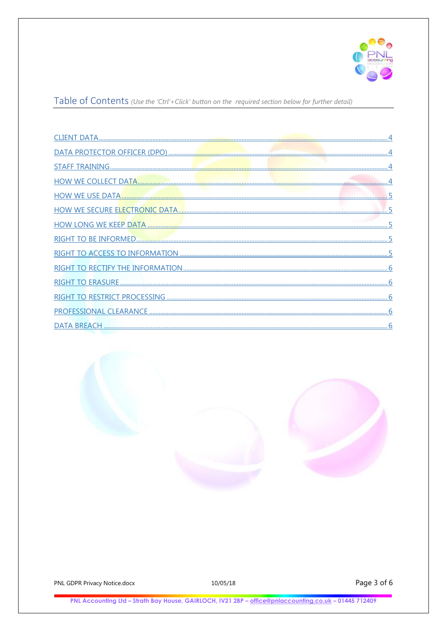

Table of Contents (Use the 'Ctrl'+Click' button on the required section below for further detail)



PNL GDPR Privacy Notice.docx

10/05/18

Page 3 of 6

PNL Accounting Ltd - Strath Bay House, GAIRLOCH, IV21 2BP - office@pnlaccounting.co.uk - 01445 712409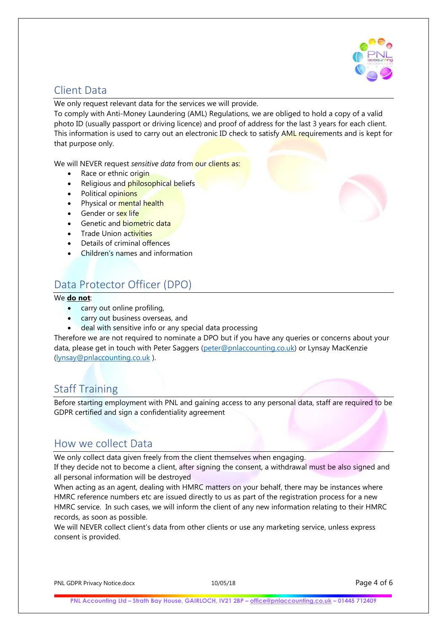

### <span id="page-3-0"></span>Client Data

We only request relevant data for the services we will provide.

To comply with Anti-Money Laundering (AML) Regulations, we are obliged to hold a copy of a valid photo ID (usually passport or driving licence) and proof of address for the last 3 years for each client. This information is used to carry out an electronic ID check to satisfy AML requirements and is kept for that purpose only.

We will NEVER request *sensitive data* from our clients as:

- Race or ethnic origin
- Religious and philosophical beliefs
- Political opinions
- Physical or **mental health**
- Gender or sex life
- Genetic and biometric data
- Trade Union activities
- Details of criminal offences
- Children's names and information

## <span id="page-3-1"></span>Data Protector Officer (DPO)

#### We **do not**:

- carry out online profiling,
- carry out business overseas, and
- deal with sensitive info or any special data processing

Therefore we are not required to nominate a DPO but if you have any queries or concerns about your data, please get in touch with Peter Saggers [\(peter@pnlaccounting.co.uk\)](mailto:peter@pnlaccounting.co.uk) or Lynsay MacKenzie [\(lynsay@pnlaccounting.co.uk](mailto:lynsay@pnlaccounting.co.uk) ).

#### <span id="page-3-2"></span>Staff Training

Before starting employment with PNL and gaining access to any personal data, staff are required to be GDPR certified and sign a confidentiality agreement

#### <span id="page-3-3"></span>How we collect Data

We only collect data given freely from the client themselves when engaging.

If they decide not to become a client, after signing the consent, a withdrawal must be also signed and all personal information will be destroyed

When acting as an agent, dealing with HMRC matters on your behalf, there may be instances where HMRC reference numbers etc are issued directly to us as part of the registration process for a new HMRC service. In such cases, we will inform the client of any new information relating to their HMRC records, as soon as possible.

We will NEVER collect client's data from other clients or use any marketing service, unless express consent is provided.



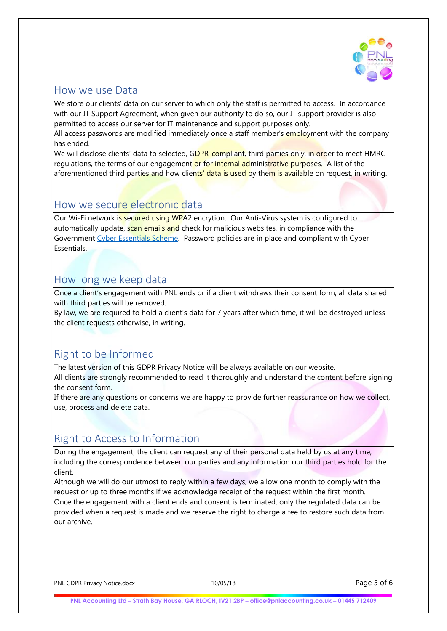

#### <span id="page-4-0"></span>How we use Data

We store our clients' data on our server to which only the staff is permitted to access. In accordance with our IT Support Agreement, when given our authority to do so, our IT support provider is also permitted to access our server for IT maintenance and support purposes only.

All access passwords are modified immediately once a staff member's employment with the company has ended.

We will disclose clients' data to selected, GDPR-compliant, third parties only, in order to meet HMRC regulations, the terms of our engagement or for internal administrative purposes. A list of the aforementioned third parties and how clients' data is used by them is available on request, in writing.

#### <span id="page-4-1"></span>How we secure electronic data

Our Wi-Fi network is secured using WPA2 encrytion. Our Anti-Virus system is configured to automatically update, scan emails and check for malicious websites, in compliance with the Government [Cyber Essentials](https://www.gov.uk/government/publications/cyber-essentials-scheme-overview) Scheme. Password policies are in place and compliant with Cyber Essentials.

### <span id="page-4-2"></span>How long we keep data

Once a client's engagement with PNL ends or if a client withdraws their consent form, all data shared with third parties will be removed.

By law, we are required to hold a client's data for 7 years after which time, it will be destroyed unless the client requests otherwise, in writing.

# <span id="page-4-3"></span>Right to be Informed

The latest version of this GDPR Privacy Notice will be always available on our website. All clients are strongly recommended to read it thoroughly and understand the content before signing the consent form.

If there are any questions or concerns we are happy to provide further reassurance on how we collect, use, process and delete data.

### <span id="page-4-4"></span>Right to Access to Information

During the engagement, the client can request any of their personal data held by us at any time, including the correspondence between our parties and any information our third parties hold for the client.

Although we will do our utmost to reply within a few days, we allow one month to comply with the request or up to three months if we acknowledge receipt of the request within the first month. Once the engagement with a client ends and consent is terminated, only the regulated data can be provided when a request is made and we reserve the right to charge a fee to restore such data from our archive.